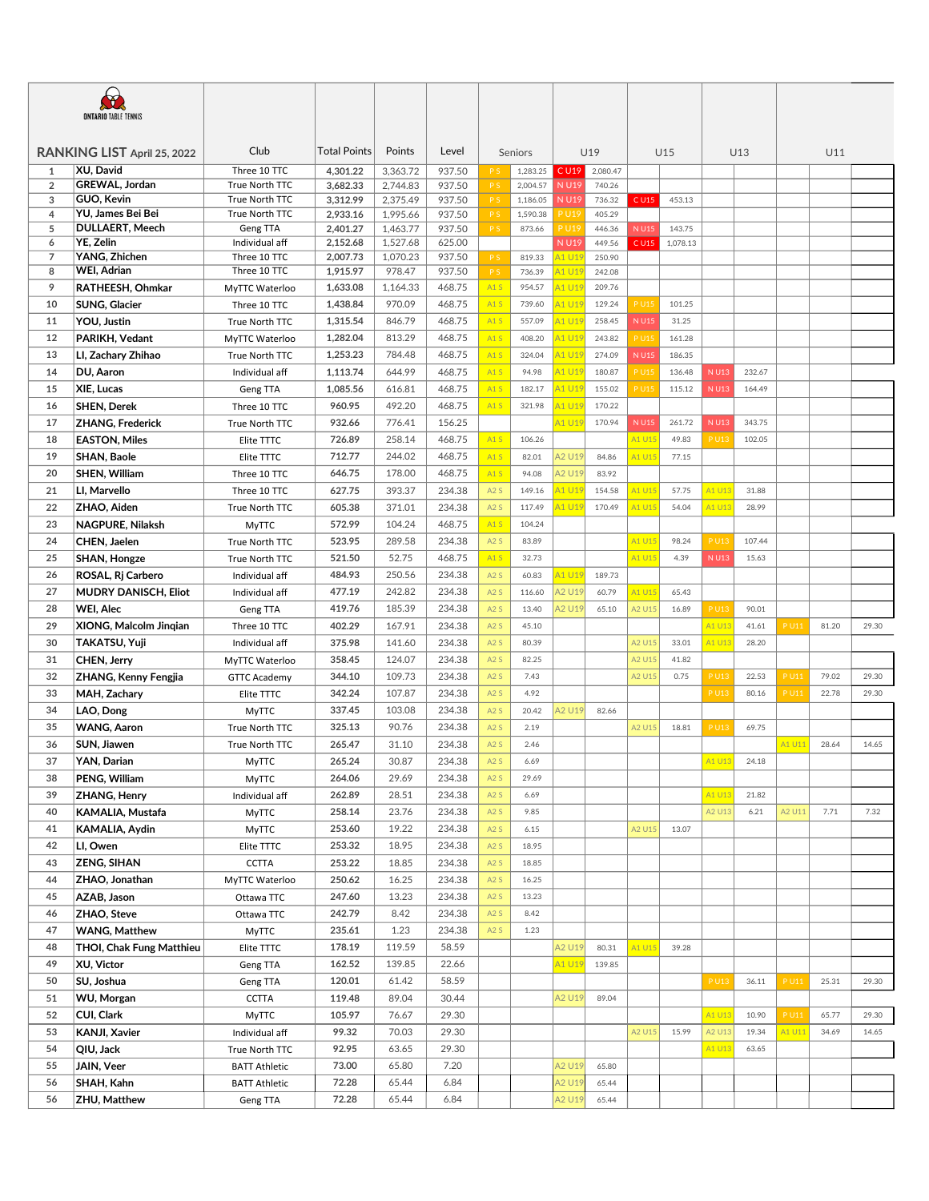| <b>ONTARIO TABLE TENNIS</b> |                                            |                            |                      |                      |                  |                |          |                      |                  |                      |                    |             |        |             |       |       |  |
|-----------------------------|--------------------------------------------|----------------------------|----------------------|----------------------|------------------|----------------|----------|----------------------|------------------|----------------------|--------------------|-------------|--------|-------------|-------|-------|--|
| RANKING LIST April 25, 2022 |                                            | Club                       | <b>Total Points</b>  | Points               | Level            | Seniors        |          |                      | U19              |                      | U15                |             | U13    |             | U11   |       |  |
| 1                           | XU, David                                  | Three 10 TTC               | 4,301.22             | 3,363.72             | 937.50           | P S            | 1,283.25 | C U19                | 2,080.47         |                      |                    |             |        |             |       |       |  |
| $\overline{2}$              | GREWAL, Jordan                             | True North TTC             | 3,682.33             | 2,744.83             | 937.50           | P S            | 2,004.57 | N U19                | 740.26           |                      |                    |             |        |             |       |       |  |
| 3                           | GUO, Kevin                                 | True North TTC             | 3,312.99             | 2,375.49             | 937.50           | P S            | 1,186.05 | N U19                | 736.32           | C U15                | 453.13             |             |        |             |       |       |  |
| $\overline{4}$              | YU, James Bei Bei                          | True North TTC             | 2,933.16             | 1,995.66             | 937.50           | P <sub>S</sub> | 1,590.38 | <b>PU19</b>          | 405.29           |                      |                    |             |        |             |       |       |  |
| 5<br>6                      | <b>DULLAERT, Meech</b><br><b>YE. Zelin</b> | Geng TTA<br>Individual aff | 2,401.27<br>2,152.68 | 1,463.77<br>1,527.68 | 937.50<br>625.00 | P S            | 873.66   | <b>PU19</b><br>N U19 | 446.36<br>449.56 | <b>NU15</b><br>C U15 | 143.75<br>1,078.13 |             |        |             |       |       |  |
| $\overline{7}$              | YANG, Zhichen                              | Three 10 TTC               | 2,007.73             | 1,070.23             | 937.50           | P <sub>S</sub> | 819.33   | 11 U19               | 250.90           |                      |                    |             |        |             |       |       |  |
| 8                           | WEI, Adrian                                | Three 10 TTC               | 1,915.97             | 978.47               | 937.50           | P S            | 736.39   | 41 U19               | 242.08           |                      |                    |             |        |             |       |       |  |
| 9                           | RATHEESH, Ohmkar                           | MyTTC Waterloo             | 1,633.08             | 1,164.33             | 468.75           | A1S            | 954.57   | 41 U19               | 209.76           |                      |                    |             |        |             |       |       |  |
| 10                          | SUNG, Glacier                              | Three 10 TTC               | 1,438.84             | 970.09               | 468.75           | A1S            | 739.60   | 11 U19               | 129.24           | <b>PU15</b>          | 101.25             |             |        |             |       |       |  |
| 11                          | YOU, Justin                                | True North TTC             | 1,315.54             | 846.79               | 468.75           | A1S            | 557.09   | 41 U19               | 258.45           | <b>NU15</b>          | 31.25              |             |        |             |       |       |  |
| 12                          | PARIKH, Vedant                             | MyTTC Waterloo             | 1,282.04             | 813.29               | 468.75           | A1S            | 408.20   | A1 U19               | 243.82           | <b>PU15</b>          | 161.28             |             |        |             |       |       |  |
| 13                          | LI, Zachary Zhihao                         | True North TTC             | 1,253.23             | 784.48               | 468.75           | A1S            | 324.04   | 41 U19               | 274.09           | N U15                | 186.35             |             |        |             |       |       |  |
| 14                          | DU, Aaron                                  | Individual aff             | 1,113.74             | 644.99               | 468.75           | A1S            | 94.98    | 41 U19               | 180.87           | <b>PU15</b>          | 136.48             | <b>NU13</b> | 232.67 |             |       |       |  |
| 15                          | XIE, Lucas                                 | Geng TTA                   | 1,085.56             | 616.81               | 468.75           | A1S            | 182.17   | A1 U19               | 155.02           | <b>PU15</b>          | 115.12             | <b>NU13</b> | 164.49 |             |       |       |  |
| 16                          | SHEN, Derek                                | Three 10 TTC               | 960.95               | 492.20               | 468.75           | A1S            | 321.98   | 41 U19               | 170.22           |                      |                    |             |        |             |       |       |  |
| 17                          | ZHANG, Frederick                           | True North TTC             | 932.66               | 776.41               | 156.25           |                |          | A1 U19               | 170.94           | <b>NU15</b>          | 261.72             | <b>NU13</b> | 343.75 |             |       |       |  |
| 18                          | <b>EASTON, Miles</b>                       | Elite TTTC                 | 726.89               | 258.14               | 468.75           | A1S            | 106.26   |                      |                  | A1 U15               | 49.83              | P U13       | 102.05 |             |       |       |  |
| 19                          | SHAN, Baole                                | Elite TTTC                 | 712.77               | 244.02               | 468.75           | A1S            | 82.01    | A2 U19               | 84.86            | A1 U15               | 77.15              |             |        |             |       |       |  |
| 20                          | SHEN, William                              | Three 10 TTC               | 646.75               | 178.00               | 468.75           | A1S            | 94.08    | A2 U19               | 83.92            |                      |                    |             |        |             |       |       |  |
| 21                          | LI, Marvello                               | Three 10 TTC               | 627.75               | 393.37               | 234.38           | A2S            | 149.16   | 11 U19               | 154.58           | 41 U15               | 57.75              | A1 U13      | 31.88  |             |       |       |  |
| 22                          | ZHAO, Aiden                                | True North TTC             | 605.38               | 371.01               | 234.38           | A2S            | 117.49   | 11 U19               | 170.49           | A1 U15               | 54.04              | A1 U13      | 28.99  |             |       |       |  |
| 23                          | NAGPURE, Nilaksh                           | <b>MyTTC</b>               | 572.99               | 104.24               | 468.75           | A1S            | 104.24   |                      |                  |                      |                    |             |        |             |       |       |  |
| 24                          | CHEN, Jaelen                               | True North TTC             | 523.95               | 289.58               | 234.38           | A2S            | 83.89    |                      |                  | A1 U15               | 98.24              | P U13       | 107.44 |             |       |       |  |
| 25                          | SHAN, Hongze                               | True North TTC             | 521.50               | 52.75                | 468.75           | A1S            | 32.73    |                      |                  | A1 U15               | 4.39               | N U13       | 15.63  |             |       |       |  |
| 26                          | ROSAL, Rj Carbero                          | Individual aff             | 484.93               | 250.56               | 234.38           | A2S            | 60.83    | 41 U19               | 189.73           |                      |                    |             |        |             |       |       |  |
| 27                          | MUDRY DANISCH, Eliot                       | Individual aff             | 477.19               | 242.82               | 234.38           | A2S            | 116.60   | <b>A2 U19</b>        | 60.79            | A1 U15               | 65.43              |             |        |             |       |       |  |
| 28                          | WEI, Alec                                  | Geng TTA                   | 419.76               | 185.39               | 234.38           | A2S            | 13.40    | <b>42 U19</b>        | 65.10            | A2 U15               | 16.89              | <b>PU13</b> | 90.01  |             |       |       |  |
| 29                          |                                            |                            | 402.29               | 167.91               | 234.38           | A2S            | 45.10    |                      |                  |                      |                    | A1 U13      | 41.61  | <b>PU11</b> | 81.20 | 29.30 |  |
|                             | XIONG, Malcolm Jingian                     | Three 10 TTC               |                      |                      |                  |                | 80.39    |                      |                  |                      |                    |             | 28.20  |             |       |       |  |
| 30<br>31                    | TAKATSU, Yuji                              | Individual aff             | 375.98               | 141.60               | 234.38           | A2S<br>A2S     |          |                      |                  | A2 U15<br>A2 U15     | 33.01<br>41.82     | A1 U13      |        |             |       |       |  |
|                             | CHEN, Jerry                                | MyTTC Waterloo             | 358.45<br>344.10     | 124.07<br>109.73     | 234.38<br>234.38 |                | 82.25    |                      |                  | A2 U15               | 0.75               | P U13       | 22.53  | <b>PU11</b> | 79.02 |       |  |
| 32                          | ZHANG, Kenny Fengjia                       | <b>GTTC Academy</b>        |                      |                      |                  | A2S            | 7.43     |                      |                  |                      |                    |             |        |             |       | 29.30 |  |
| 33                          | MAH, Zachary                               | Elite TTTC                 | 342.24               | 107.87               | 234.38           | A2S            | 4.92     |                      |                  |                      |                    | <b>PU13</b> | 80.16  | <b>PU11</b> | 22.78 | 29.30 |  |
| 34                          | LAO, Dong                                  | <b>MyTTC</b>               | 337.45               | 103.08               | 234.38           | A2S            | 20.42    | <b>42 U19</b>        | 82.66            |                      |                    |             |        |             |       |       |  |
| 35                          | <b>WANG, Aaron</b>                         | True North TTC             | 325.13               | 90.76                | 234.38           | A2S            | 2.19     |                      |                  | A2 U15               | 18.81              | <b>PU13</b> | 69.75  |             |       |       |  |
| 36                          | SUN, Jiawen                                | True North TTC             | 265.47               | 31.10                | 234.38           | A2S            | 2.46     |                      |                  |                      |                    |             |        | A1 U11      | 28.64 | 14.65 |  |
| 37                          | YAN, Darian                                | MyTTC                      | 265.24               | 30.87                | 234.38           | A2S            | 6.69     |                      |                  |                      |                    | A1 U13      | 24.18  |             |       |       |  |
| 38                          | PENG, William                              | <b>MyTTC</b>               | 264.06               | 29.69                | 234.38           | A2S            | 29.69    |                      |                  |                      |                    |             |        |             |       |       |  |
| 39                          | ZHANG, Henry                               | Individual aff             | 262.89               | 28.51                | 234.38           | A2S            | 6.69     |                      |                  |                      |                    | A1 U13      | 21.82  |             |       |       |  |
| 40                          | KAMALIA, Mustafa                           | <b>MyTTC</b>               | 258.14               | 23.76                | 234.38           | A2S            | 9.85     |                      |                  |                      |                    | A2 U13      | 6.21   | A2 U11      | 7.71  | 7.32  |  |
| 41                          | KAMALIA, Aydin                             | <b>MyTTC</b>               | 253.60               | 19.22                | 234.38           | A2S            | 6.15     |                      |                  | A2 U15               | 13.07              |             |        |             |       |       |  |
| 42                          | LI, Owen                                   | Elite TTTC                 | 253.32               | 18.95                | 234.38           | A2S            | 18.95    |                      |                  |                      |                    |             |        |             |       |       |  |
| 43                          | <b>ZENG, SIHAN</b>                         | <b>CCTTA</b>               | 253.22               | 18.85                | 234.38           | A2S            | 18.85    |                      |                  |                      |                    |             |        |             |       |       |  |
| 44                          | ZHAO, Jonathan                             | MyTTC Waterloo             | 250.62               | 16.25                | 234.38           | A2S            | 16.25    |                      |                  |                      |                    |             |        |             |       |       |  |
| 45                          | AZAB, Jason                                | Ottawa TTC                 | 247.60               | 13.23                | 234.38           | A2S            | 13.23    |                      |                  |                      |                    |             |        |             |       |       |  |
| 46                          | ZHAO, Steve                                | Ottawa TTC                 | 242.79               | 8.42                 | 234.38           | A2S            | 8.42     |                      |                  |                      |                    |             |        |             |       |       |  |
| 47                          | <b>WANG, Matthew</b>                       | <b>MyTTC</b>               | 235.61               | 1.23                 | 234.38           | A2S            | 1.23     |                      |                  |                      |                    |             |        |             |       |       |  |
| 48                          | THOI, Chak Fung Matthieu                   | Elite TTTC                 | 178.19               | 119.59               | 58.59            |                |          | A2 U19               | 80.31            | A1 U15               | 39.28              |             |        |             |       |       |  |
| 49                          | XU, Victor                                 | Geng TTA                   | 162.52               | 139.85               | 22.66            |                |          | A1 U19               | 139.85           |                      |                    |             |        |             |       |       |  |
| 50                          | SU, Joshua                                 | Geng TTA                   | 120.01               | 61.42                | 58.59            |                |          |                      |                  |                      |                    | <b>PU13</b> | 36.11  | <b>PU11</b> | 25.31 | 29.30 |  |
| 51                          | WU, Morgan                                 | <b>CCTTA</b>               | 119.48               | 89.04                | 30.44            |                |          | A2 U19               | 89.04            |                      |                    |             |        |             |       |       |  |
| 52                          | CUI, Clark                                 | <b>MyTTC</b>               | 105.97               | 76.67                | 29.30            |                |          |                      |                  |                      |                    | A1 U13      | 10.90  | P U11       | 65.77 | 29.30 |  |
| 53                          | KANJI, Xavier                              | Individual aff             | 99.32                | 70.03                | 29.30            |                |          |                      |                  | A2 U15               | 15.99              | A2 U13      | 19.34  | A1 U11      | 34.69 | 14.65 |  |
| 54                          | QIU, Jack                                  | True North TTC             | 92.95                | 63.65                | 29.30            |                |          |                      |                  |                      |                    | A1 U13      | 63.65  |             |       |       |  |
| 55                          | JAIN, Veer                                 | <b>BATT Athletic</b>       | 73.00                | 65.80                | 7.20             |                |          | A2 U19               | 65.80            |                      |                    |             |        |             |       |       |  |
| 56                          | SHAH, Kahn                                 | <b>BATT Athletic</b>       | 72.28                | 65.44                | 6.84             |                |          | A2 U19               | 65.44            |                      |                    |             |        |             |       |       |  |
| 56                          | ZHU, Matthew                               | Geng TTA                   | 72.28                | 65.44                | 6.84             |                |          | A2 U19               | 65.44            |                      |                    |             |        |             |       |       |  |